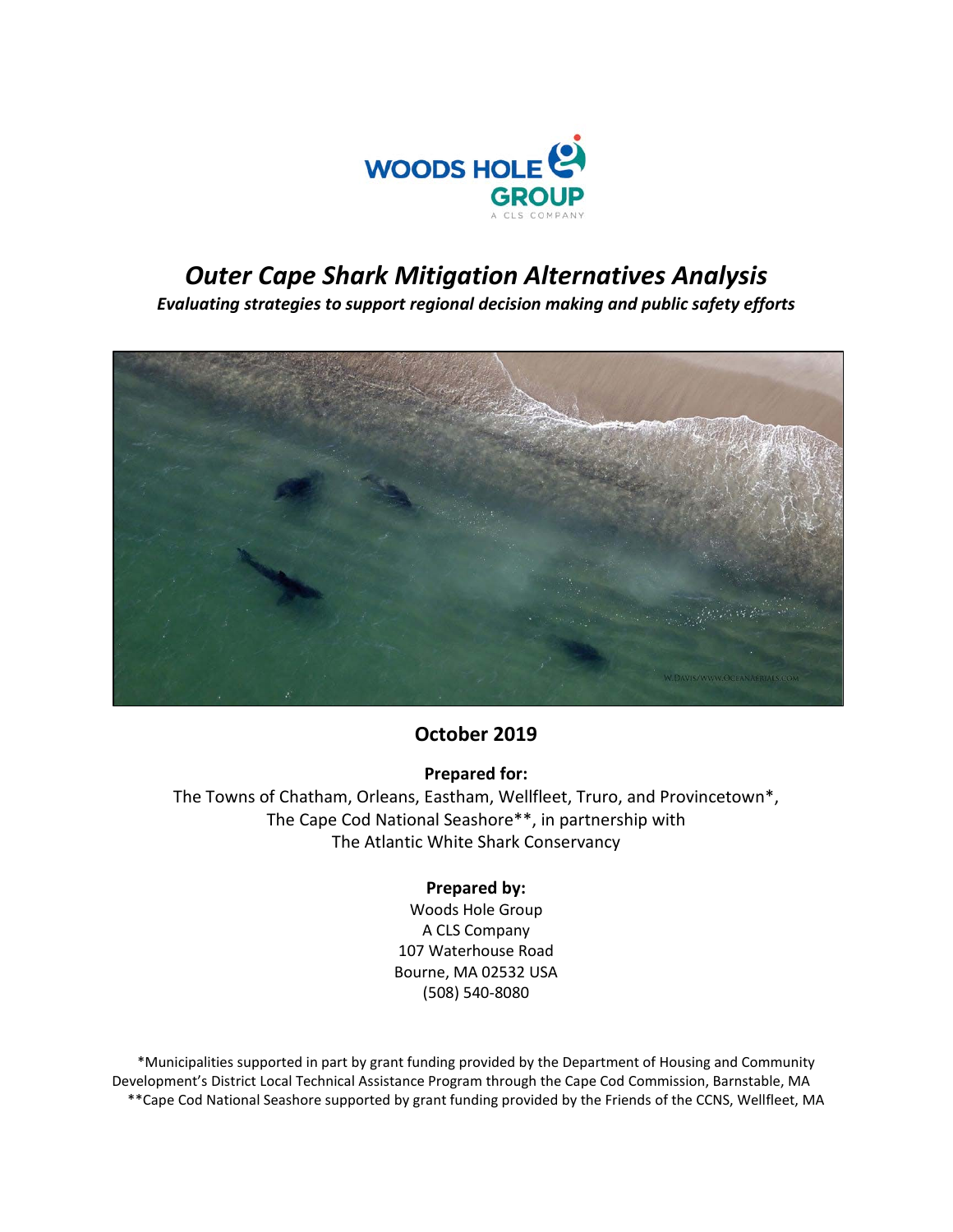

# *Outer Cape Shark Mitigation Alternatives Analysis*

*Evaluating strategies to support regional decision making and public safety efforts*



# **October 2019**

### **Prepared for:**

The Towns of Chatham, Orleans, Eastham, Wellfleet, Truro, and Provincetown\*, The Cape Cod National Seashore\*\*, in partnership with The Atlantic White Shark Conservancy

### **Prepared by:**

Woods Hole Group A CLS Company 107 Waterhouse Road Bourne, MA 02532 USA (508) 540-8080

\*Municipalities supported in part by grant funding provided by the Department of Housing and Community Development's District Local Technical Assistance Program through the Cape Cod Commission, Barnstable, MA \*\*Cape Cod National Seashore supported by grant funding provided by the Friends of the CCNS, Wellfleet, MA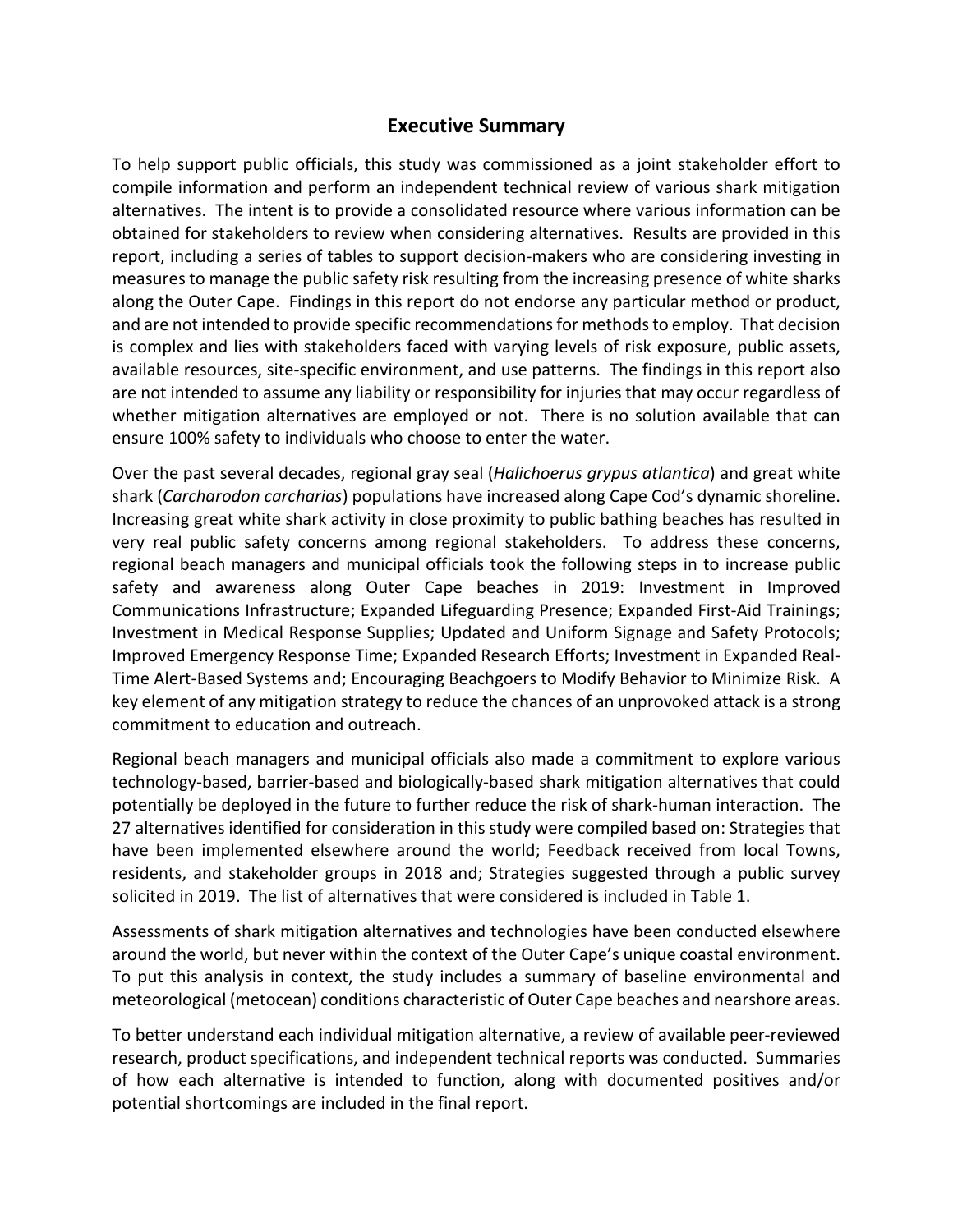## **Executive Summary**

To help support public officials, this study was commissioned as a joint stakeholder effort to compile information and perform an independent technical review of various shark mitigation alternatives. The intent is to provide a consolidated resource where various information can be obtained for stakeholders to review when considering alternatives. Results are provided in this report, including a series of tables to support decision-makers who are considering investing in measures to manage the public safety risk resulting from the increasing presence of white sharks along the Outer Cape. Findings in this report do not endorse any particular method or product, and are not intended to provide specific recommendations for methods to employ. That decision is complex and lies with stakeholders faced with varying levels of risk exposure, public assets, available resources, site-specific environment, and use patterns. The findings in this report also are not intended to assume any liability or responsibility for injuries that may occur regardless of whether mitigation alternatives are employed or not.There is no solution available that can ensure 100% safety to individuals who choose to enter the water.

Over the past several decades, regional gray seal (*Halichoerus grypus atlantica*) and great white shark (*Carcharodon carcharias*) populations have increased along Cape Cod's dynamic shoreline. Increasing great white shark activity in close proximity to public bathing beaches has resulted in very real public safety concerns among regional stakeholders. To address these concerns, regional beach managers and municipal officials took the following steps in to increase public safety and awareness along Outer Cape beaches in 2019: Investment in Improved Communications Infrastructure; Expanded Lifeguarding Presence; Expanded First-Aid Trainings; Investment in Medical Response Supplies; Updated and Uniform Signage and Safety Protocols; Improved Emergency Response Time; Expanded Research Efforts; Investment in Expanded Real-Time Alert-Based Systems and; Encouraging Beachgoers to Modify Behavior to Minimize Risk. A key element of any mitigation strategy to reduce the chances of an unprovoked attack is a strong commitment to education and outreach.

Regional beach managers and municipal officials also made a commitment to explore various technology-based, barrier-based and biologically-based shark mitigation alternatives that could potentially be deployed in the future to further reduce the risk of shark-human interaction. The 27 alternatives identified for consideration in this study were compiled based on: Strategies that have been implemented elsewhere around the world; Feedback received from local Towns, residents, and stakeholder groups in 2018 and; Strategies suggested through a public survey solicited in 2019. The list of alternatives that were considered is included in Table 1.

Assessments of shark mitigation alternatives and technologies have been conducted elsewhere around the world, but never within the context of the Outer Cape's unique coastal environment. To put this analysis in context, the study includes a summary of baseline environmental and meteorological (metocean) conditions characteristic of Outer Cape beaches and nearshore areas.

To better understand each individual mitigation alternative, a review of available peer-reviewed research, product specifications, and independent technical reports was conducted. Summaries of how each alternative is intended to function, along with documented positives and/or potential shortcomings are included in the final report.